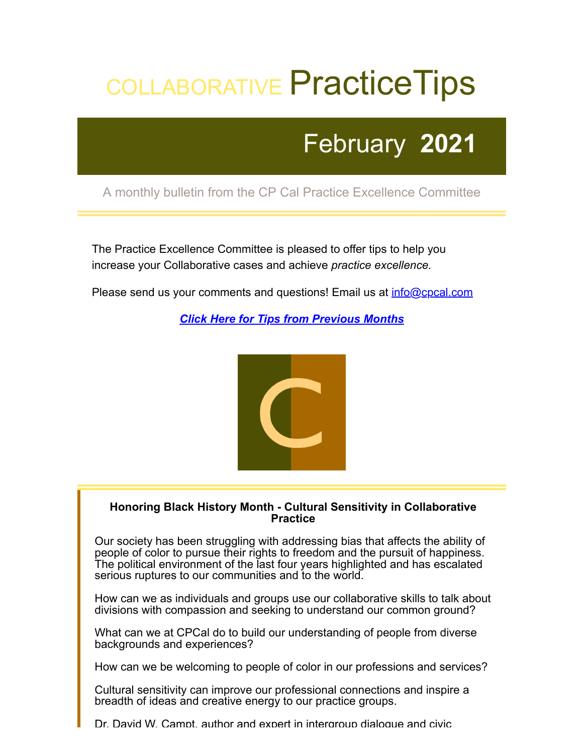# COLLABORATIVE Practice Tips

## February **2021**

### A monthly bulletin from the CP Cal Practice Excellence Committee

The Practice Excellence Committee is pleased to offer tips to help you increase your Collaborative cases and achieve *practice excellence.*

Please send us your comments and questions! Email us at *[info@cpcal.com](mailto:info@cpcal.com)* 

*[Click Here for Tips from Previous Months](http://www.cpcal.com/for-professionals/practice-tips-newsletter/)*



#### **Honoring Black History Month - Cultural Sensitivity in Collaborative Practice**

Our society has been struggling with addressing bias that affects the ability of people of color to pursue their rights to freedom and the pursuit of happiness. The political environment of the last four years highlighted and has escalated serious ruptures to our communities and to the world.

How can we as individuals and groups use our collaborative skills to talk about divisions with compassion and seeking to understand our common ground?

What can we at CPCal do to build our understanding of people from diverse backgrounds and experiences?

How can we be welcoming to people of color in our professions and services?

Cultural sensitivity can improve our professional connections and inspire a breadth of ideas and creative energy to our practice groups.

Dr. David W. Campt, author and expert in intergroup dialogue and civic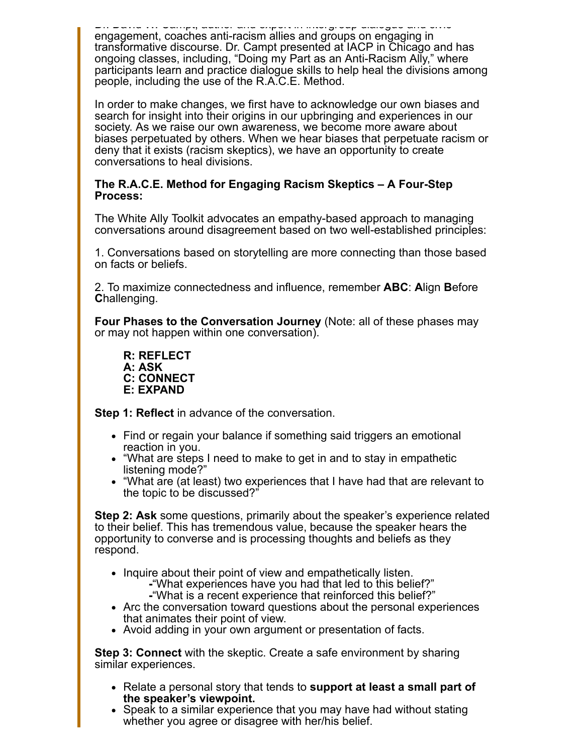Dr. David W. Campt, author and expert in intergroup dialogue and civic engagement, coaches anti-racism allies and groups on engaging in transformative discourse. Dr. Campt presented at IACP in Chicago and has ongoing classes, including, "Doing my Part as an Anti-Racism Ally," where participants learn and practice dialogue skills to help heal the divisions among people, including the use of the R.A.C.E. Method.

In order to make changes, we first have to acknowledge our own biases and search for insight into their origins in our upbringing and experiences in our society. As we raise our own awareness, we become more aware about biases perpetuated by others. When we hear biases that perpetuate racism or deny that it exists (racism skeptics), we have an opportunity to create conversations to heal divisions.

#### **The R.A.C.E. Method for Engaging Racism Skeptics – A Four-Step Process:**

The White Ally Toolkit advocates an empathy-based approach to managing conversations around disagreement based on two well-established principles:

1. Conversations based on storytelling are more connecting than those based on facts or beliefs.

2. To maximize connectedness and influence, remember **ABC**: **A**lign **B**efore **C**hallenging.

**Four Phases to the Conversation Journey** (Note: all of these phases may or may not happen within one conversation).

**R: REFLECT A: ASK C: CONNECT E: EXPAND**

**Step 1: Reflect** in advance of the conversation.

- Find or regain your balance if something said triggers an emotional reaction in you.
- "What are steps I need to make to get in and to stay in empathetic listening mode?"
- "What are (at least) two experiences that I have had that are relevant to the topic to be discussed?"

**Step 2: Ask** some questions, primarily about the speaker's experience related to their belief. This has tremendous value, because the speaker hears the opportunity to converse and is processing thoughts and beliefs as they respond.

- Inquire about their point of view and empathetically listen. **-**"What experiences have you had that led to this belief?" **-**"What is a recent experience that reinforced this belief?"
- Arc the conversation toward questions about the personal experiences that animates their point of view.
- Avoid adding in your own argument or presentation of facts.

**Step 3: Connect** with the skeptic. Create a safe environment by sharing similar experiences.

- Relate a personal story that tends to **support at least a small part of the speaker's viewpoint.**
- Speak to a similar experience that you may have had without stating whether you agree or disagree with her/his belief.